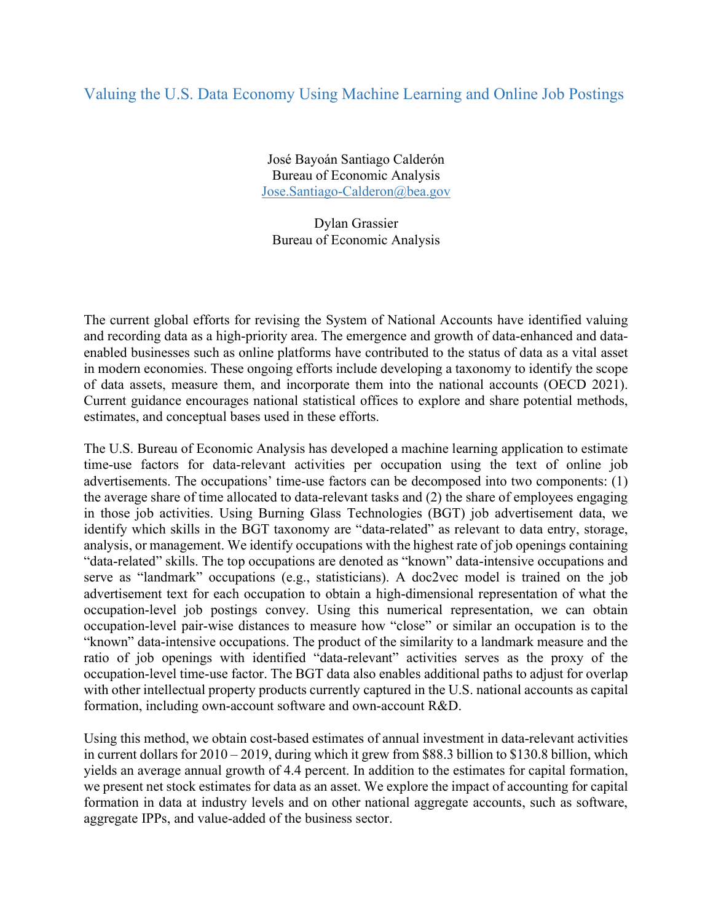## Valuing the U.S. Data Economy Using Machine Learning and Online Job Postings

José Bayoán Santiago Calderón Bureau of Economic Analysis Jose.Santiago-Calderon@bea.gov

Dylan Grassier Bureau of Economic Analysis

The current global efforts for revising the System of National Accounts have identified valuing and recording data as a high-priority area. The emergence and growth of data-enhanced and dataenabled businesses such as online platforms have contributed to the status of data as a vital asset in modern economies. These ongoing efforts include developing a taxonomy to identify the scope of data assets, measure them, and incorporate them into the national accounts (OECD 2021). Current guidance encourages national statistical offices to explore and share potential methods, estimates, and conceptual bases used in these efforts.

The U.S. Bureau of Economic Analysis has developed a machine learning application to estimate time-use factors for data-relevant activities per occupation using the text of online job advertisements. The occupations' time-use factors can be decomposed into two components: (1) the average share of time allocated to data-relevant tasks and (2) the share of employees engaging in those job activities. Using Burning Glass Technologies (BGT) job advertisement data, we identify which skills in the BGT taxonomy are "data-related" as relevant to data entry, storage, analysis, or management. We identify occupations with the highest rate of job openings containing "data-related" skills. The top occupations are denoted as "known" data-intensive occupations and serve as "landmark" occupations (e.g., statisticians). A doc2vec model is trained on the job advertisement text for each occupation to obtain a high-dimensional representation of what the occupation-level job postings convey. Using this numerical representation, we can obtain occupation-level pair-wise distances to measure how "close" or similar an occupation is to the "known" data-intensive occupations. The product of the similarity to a landmark measure and the ratio of job openings with identified "data-relevant" activities serves as the proxy of the occupation-level time-use factor. The BGT data also enables additional paths to adjust for overlap with other intellectual property products currently captured in the U.S. national accounts as capital formation, including own-account software and own-account R&D.

Using this method, we obtain cost-based estimates of annual investment in data-relevant activities in current dollars for 2010 – 2019, during which it grew from \$88.3 billion to \$130.8 billion, which yields an average annual growth of 4.4 percent. In addition to the estimates for capital formation, we present net stock estimates for data as an asset. We explore the impact of accounting for capital formation in data at industry levels and on other national aggregate accounts, such as software, aggregate IPPs, and value-added of the business sector.